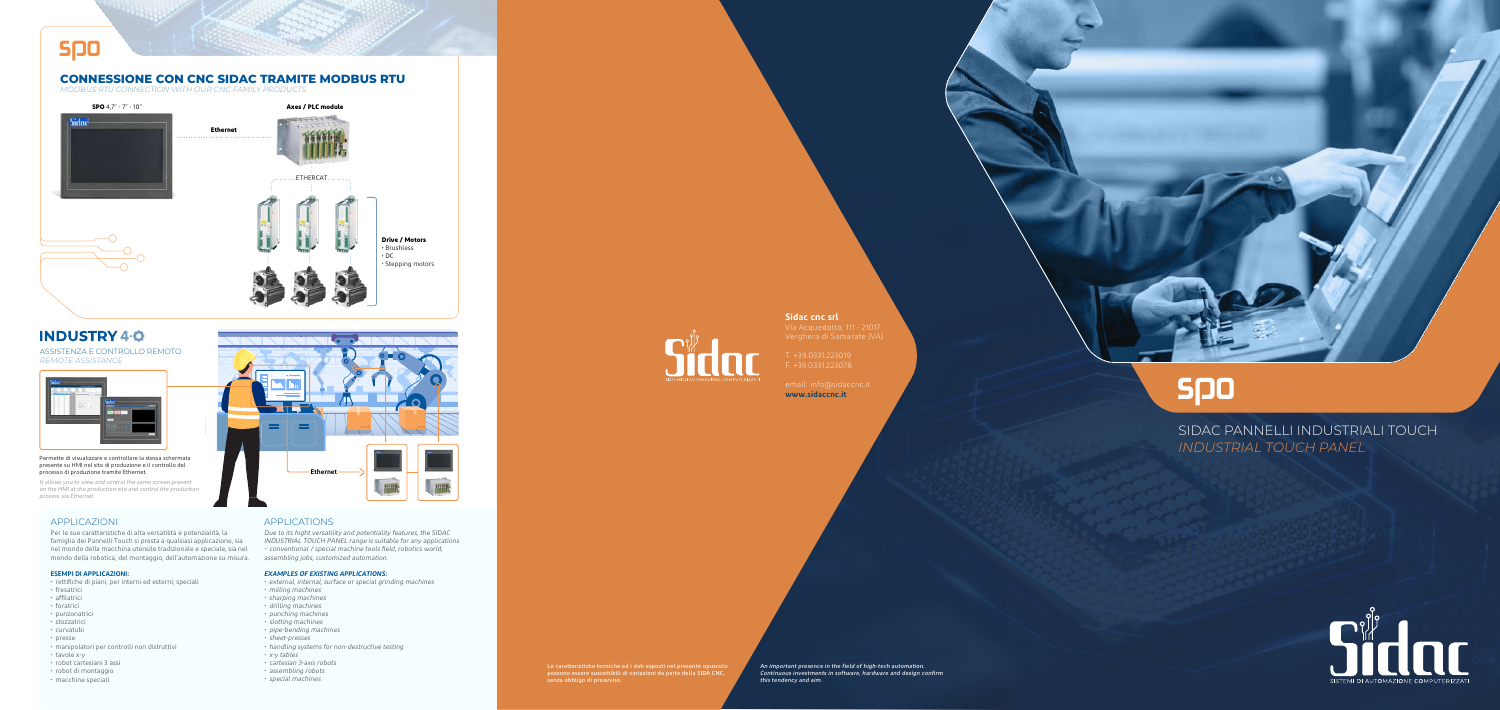SIDAC PANNELLI INDUSTRIALI TOUCH *INDUSTRIAL TOUCH PANEL*



# spo

### Le caratteristiche tecniche ed i dati esposti nel presente opuscolo possono essere suscettibili di variazioni da parte della SIDA CNC, senza obbligo di preavviso.

An important presence in the field of high-tech automation. Continuous investments in software, hardware and design confirm this tendency and aim.



ASSISTENZA E CONTROLLO REMOTO *REMOTE ASSISTANCE* 



### Permette di visualizzare e controllare la stessa schermata presente su HMI nel sito di produzione e il controllo del processo di produzione tramite Ethernet.

It allows you to view and control the same screen present on the HMI at the production site and control the production process via Ethernet.

Per le sue caratteristiche di alta versatilità e potenzialità, la famiglia dei Pannelli Touch si presta a qualsiasi applicazione, sia nel mondo della macchina utensile tradizionale e speciale, sia nel mondo della robotica, del montaggio, dell'automazione su misura.

### **ESEMPI DI APPLICAZIONI:**

# spo **CONNESSIONE CON CNC SIDAC TRAMITE MODBUS RTU** *MODBUS RTU CONNECTION WITH OUR CNC FAMILY PRODUCTS* **SPO** 4,7" - 7" - 10" **Axes / PLC module** Sidod **Ethernet** ETHERCAT **Drive / Motors** • Brushless • DC • Stepping motors

## **INDUSTRY 4.0**

- rettifiche di piani; per interni ed esterni; speciali
- fresatrici
- affilatrici
- foratrici
- punzonatrici
- stozzatrici
- curvatubi
- presse
- manipolatori per controlli non distruttivi
- tavole x-y
- robot cartesiani 3 assi
- robot di montaggio
- macchine speciali

Due to its hight versatility and potentiality features, the SIDAC INDUSTRIAL TOUCH PANEL range is suitable for any applications – conventional / special machine tools field, robotics world, assembling jobs, customized automation.

### **EXAMPLES OF EXISTING APPLICATIONS:**

- external, internal, surface or special grinding machines
- milling machines
- sharping machines
- drilling machines
- 
- punching machines
- slotting machines • pipe-bending machines
- sheet-presses
- handling systems for non-destructive testing
- x-y tables
- cartesian 3-axis robots
- assembling robots
- special machines



## APPLICAZIONI APPLICATIONS

**Sidac cnc srl**

Verghera di Samarate (VA)

F. +39.0331.223078

email: info@sidaccnc.it **www.sidaccnc.it**